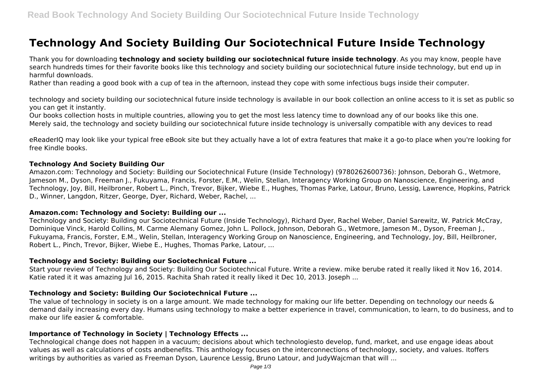# **Technology And Society Building Our Sociotechnical Future Inside Technology**

Thank you for downloading **technology and society building our sociotechnical future inside technology**. As you may know, people have search hundreds times for their favorite books like this technology and society building our sociotechnical future inside technology, but end up in harmful downloads.

Rather than reading a good book with a cup of tea in the afternoon, instead they cope with some infectious bugs inside their computer.

technology and society building our sociotechnical future inside technology is available in our book collection an online access to it is set as public so you can get it instantly.

Our books collection hosts in multiple countries, allowing you to get the most less latency time to download any of our books like this one. Merely said, the technology and society building our sociotechnical future inside technology is universally compatible with any devices to read

eReaderIQ may look like your typical free eBook site but they actually have a lot of extra features that make it a go-to place when you're looking for free Kindle books.

#### **Technology And Society Building Our**

Amazon.com: Technology and Society: Building our Sociotechnical Future (Inside Technology) (9780262600736): Johnson, Deborah G., Wetmore, Jameson M., Dyson, Freeman J., Fukuyama, Francis, Forster, E.M., Welin, Stellan, Interagency Working Group on Nanoscience, Engineering, and Technology, Joy, Bill, Heilbroner, Robert L., Pinch, Trevor, Bijker, Wiebe E., Hughes, Thomas Parke, Latour, Bruno, Lessig, Lawrence, Hopkins, Patrick D., Winner, Langdon, Ritzer, George, Dyer, Richard, Weber, Rachel, ...

#### **Amazon.com: Technology and Society: Building our ...**

Technology and Society: Building our Sociotechnical Future (Inside Technology), Richard Dyer, Rachel Weber, Daniel Sarewitz, W. Patrick McCray, Dominique Vinck, Harold Collins, M. Carme Alemany Gomez, John L. Pollock, Johnson, Deborah G., Wetmore, Jameson M., Dyson, Freeman J., Fukuyama, Francis, Forster, E.M., Welin, Stellan, Interagency Working Group on Nanoscience, Engineering, and Technology, Joy, Bill, Heilbroner, Robert L., Pinch, Trevor, Bijker, Wiebe E., Hughes, Thomas Parke, Latour, ...

#### **Technology and Society: Building our Sociotechnical Future ...**

Start your review of Technology and Society: Building Our Sociotechnical Future. Write a review. mike berube rated it really liked it Nov 16, 2014. Katie rated it it was amazing Jul 16, 2015. Rachita Shah rated it really liked it Dec 10, 2013. Joseph ...

# **Technology and Society: Building Our Sociotechnical Future ...**

The value of technology in society is on a large amount. We made technology for making our life better. Depending on technology our needs & demand daily increasing every day. Humans using technology to make a better experience in travel, communication, to learn, to do business, and to make our life easier & comfortable.

#### **Importance of Technology in Society | Technology Effects ...**

Technological change does not happen in a vacuum; decisions about which technologiesto develop, fund, market, and use engage ideas about values as well as calculations of costs andbenefits. This anthology focuses on the interconnections of technology, society, and values. Itoffers writings by authorities as varied as Freeman Dyson, Laurence Lessig, Bruno Latour, and JudyWajcman that will ...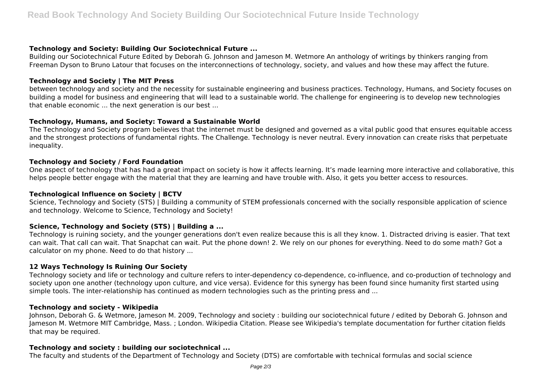# **Technology and Society: Building Our Sociotechnical Future ...**

Building our Sociotechnical Future Edited by Deborah G. Johnson and Jameson M. Wetmore An anthology of writings by thinkers ranging from Freeman Dyson to Bruno Latour that focuses on the interconnections of technology, society, and values and how these may affect the future.

# **Technology and Society | The MIT Press**

between technology and society and the necessity for sustainable engineering and business practices. Technology, Humans, and Society focuses on building a model for business and engineering that will lead to a sustainable world. The challenge for engineering is to develop new technologies that enable economic ... the next generation is our best ...

## **Technology, Humans, and Society: Toward a Sustainable World**

The Technology and Society program believes that the internet must be designed and governed as a vital public good that ensures equitable access and the strongest protections of fundamental rights. The Challenge. Technology is never neutral. Every innovation can create risks that perpetuate inequality.

## **Technology and Society / Ford Foundation**

One aspect of technology that has had a great impact on society is how it affects learning. It's made learning more interactive and collaborative, this helps people better engage with the material that they are learning and have trouble with. Also, it gets you better access to resources.

#### **Technological Influence on Society | BCTV**

Science, Technology and Society (STS) | Building a community of STEM professionals concerned with the socially responsible application of science and technology. Welcome to Science, Technology and Society!

# **Science, Technology and Society (STS) | Building a ...**

Technology is ruining society, and the younger generations don't even realize because this is all they know. 1. Distracted driving is easier. That text can wait. That call can wait. That Snapchat can wait. Put the phone down! 2. We rely on our phones for everything. Need to do some math? Got a calculator on my phone. Need to do that history ...

# **12 Ways Technology Is Ruining Our Society**

Technology society and life or technology and culture refers to inter-dependency co-dependence, co-influence, and co-production of technology and society upon one another (technology upon culture, and vice versa). Evidence for this synergy has been found since humanity first started using simple tools. The inter-relationship has continued as modern technologies such as the printing press and ...

#### **Technology and society - Wikipedia**

Johnson, Deborah G. & Wetmore, Jameson M. 2009, Technology and society : building our sociotechnical future / edited by Deborah G. Johnson and Jameson M. Wetmore MIT Cambridge, Mass. ; London. Wikipedia Citation. Please see Wikipedia's template documentation for further citation fields that may be required.

### **Technology and society : building our sociotechnical ...**

The faculty and students of the Department of Technology and Society (DTS) are comfortable with technical formulas and social science